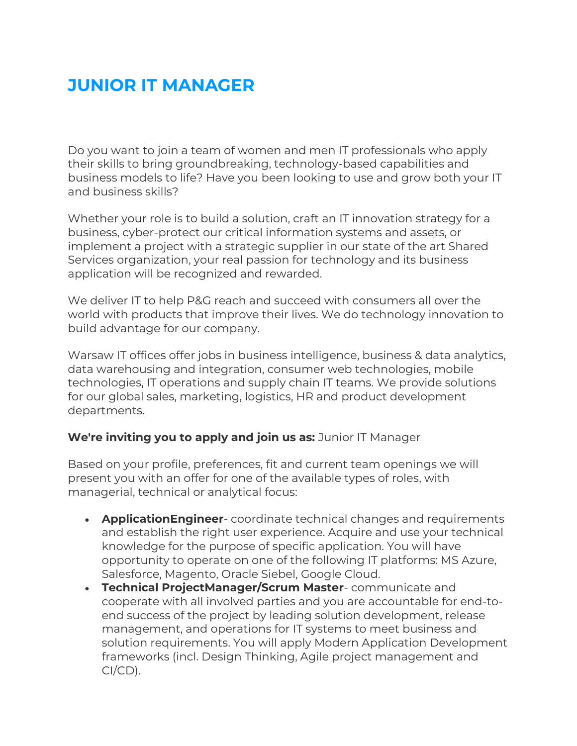## **JUNIOR IT MANAGER**

Do you want to join a team of women and men IT professionals who apply their skills to bring groundbreaking, technology-based capabilities and business models to life? Have you been looking to use and grow both your IT and business skills?

Whether your role is to build a solution, craft an IT innovation strategy for a business, cyber-protect our critical information systems and assets, or implement a project with a strategic supplier in our state of the art Shared Services organization, your real passion for technology and its business application will be recognized and rewarded.

We deliver IT to help P&G reach and succeed with consumers all over the world with products that improve their lives. We do technology innovation to build advantage for our company.

Warsaw IT offices offer jobs in business intelligence, business & data analytics, data warehousing and integration, consumer web technologies, mobile technologies, IT operations and supply chain IT teams. We provide solutions for our global sales, marketing, logistics, HR and product development departments.

## **We're inviting you to apply and join us as:** Junior IT Manager

Based on your profile, preferences, fit and current team openings we will present you with an offer for one of the available types of roles, with managerial, technical or analytical focus:

- **ApplicationEngineer** coordinate technical changes and requirements and establish the right user experience. Acquire and use your technical knowledge for the purpose of specific application. You will have opportunity to operate on one of the following IT platforms: MS Azure, Salesforce, Magento, Oracle Siebel, Google Cloud.
- **Technical ProjectManager/Scrum Master** communicate and cooperate with all involved parties and you are accountable for end-toend success of the project by leading solution development, release management, and operations for IT systems to meet business and solution requirements. You will apply Modern Application Development frameworks (incl. Design Thinking, Agile project management and CI/CD).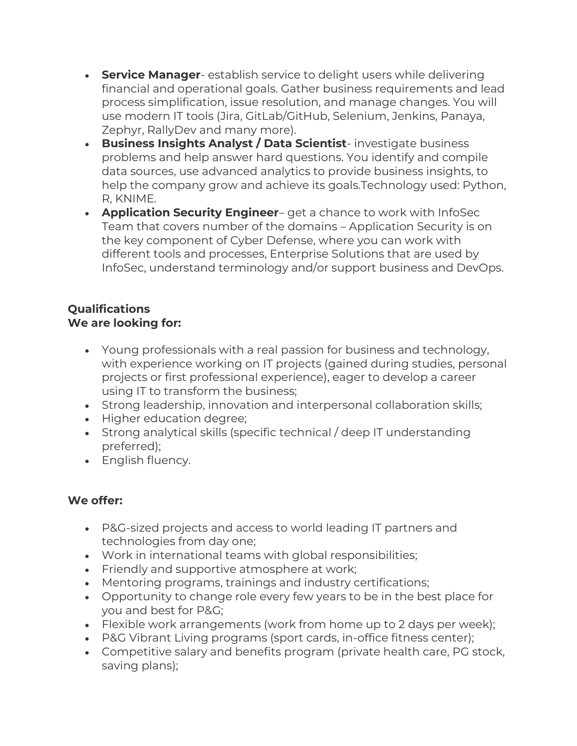- **Service Manager** establish service to delight users while delivering financial and operational goals. Gather business requirements and lead process simplification, issue resolution, and manage changes. You will use modern IT tools (Jira, GitLab/GitHub, Selenium, Jenkins, Panaya, Zephyr, RallyDev and many more).
- **Business Insights Analyst / Data Scientist** investigate business problems and help answer hard questions. You identify and compile data sources, use advanced analytics to provide business insights, to help the company grow and achieve its goals.Technology used: Python, R, KNIME.
- **Application Security Engineer** get a chance to work with InfoSec Team that covers number of the domains – Application Security is on the key component of Cyber Defense, where you can work with different tools and processes, Enterprise Solutions that are used by InfoSec, understand terminology and/or support business and DevOps.

## **Qualifications We are looking for:**

- Young professionals with a real passion for business and technology, with experience working on IT projects (gained during studies, personal projects or first professional experience), eager to develop a career using IT to transform the business;
- Strong leadership, innovation and interpersonal collaboration skills;
- Higher education degree;
- Strong analytical skills (specific technical / deep IT understanding preferred);
- English fluency.

## **We offer:**

- P&G-sized projects and access to world leading IT partners and technologies from day one;
- Work in international teams with global responsibilities;
- Friendly and supportive atmosphere at work;
- Mentoring programs, trainings and industry certifications;
- Opportunity to change role every few years to be in the best place for you and best for P&G;
- Flexible work arrangements (work from home up to 2 days per week);
- P&G Vibrant Living programs (sport cards, in-office fitness center);
- Competitive salary and benefits program (private health care, PG stock, saving plans);